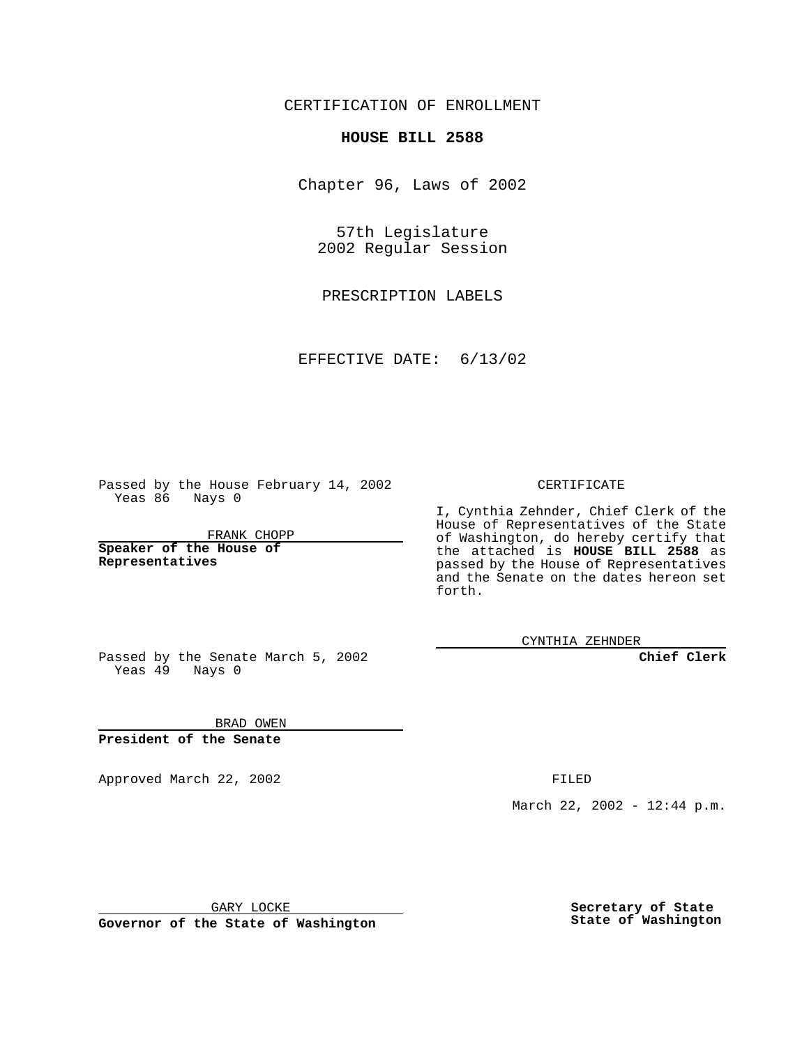CERTIFICATION OF ENROLLMENT

## **HOUSE BILL 2588**

Chapter 96, Laws of 2002

57th Legislature 2002 Regular Session

PRESCRIPTION LABELS

EFFECTIVE DATE: 6/13/02

Passed by the House February 14, 2002 Yeas 86 Nays 0

FRANK CHOPP

**Speaker of the House of Representatives**

## CERTIFICATE

I, Cynthia Zehnder, Chief Clerk of the House of Representatives of the State of Washington, do hereby certify that the attached is **HOUSE BILL 2588** as passed by the House of Representatives and the Senate on the dates hereon set forth.

CYNTHIA ZEHNDER

**Chief Clerk**

Passed by the Senate March 5, 2002 Yeas  $49$  Nays 0

BRAD OWEN **President of the Senate**

Approved March 22, 2002 **FILED** 

March 22, 2002 - 12:44 p.m.

GARY LOCKE

**Governor of the State of Washington**

**Secretary of State State of Washington**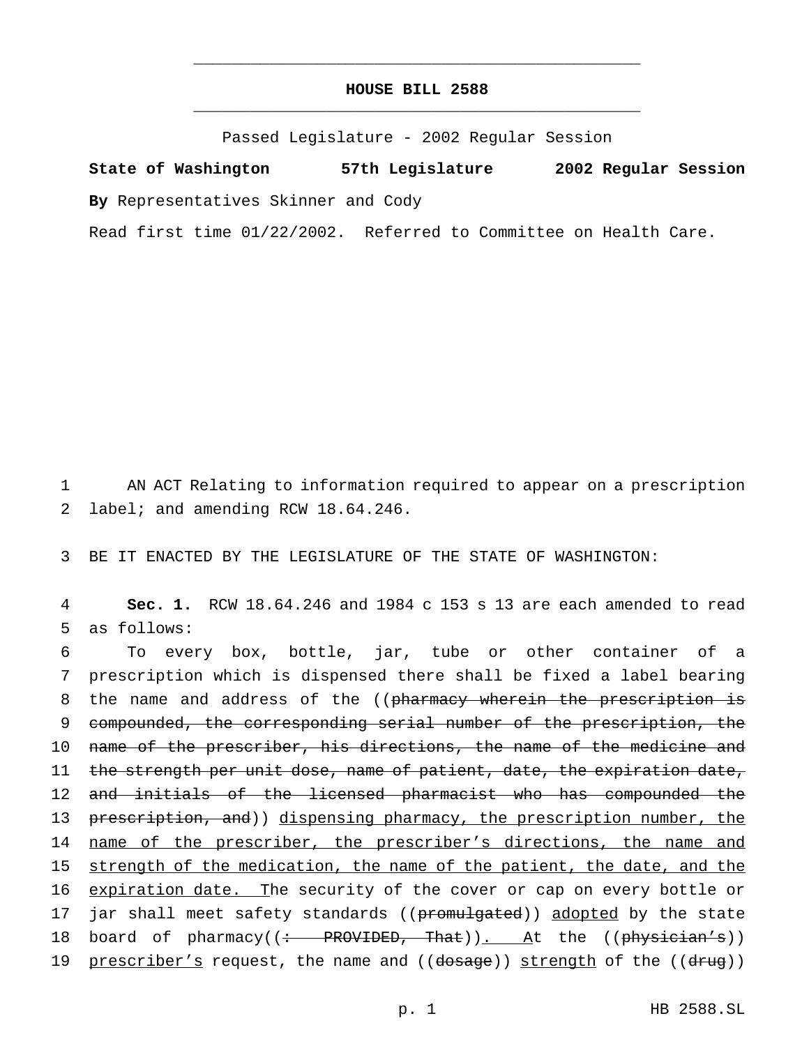## **HOUSE BILL 2588** \_\_\_\_\_\_\_\_\_\_\_\_\_\_\_\_\_\_\_\_\_\_\_\_\_\_\_\_\_\_\_\_\_\_\_\_\_\_\_\_\_\_\_\_\_\_\_

\_\_\_\_\_\_\_\_\_\_\_\_\_\_\_\_\_\_\_\_\_\_\_\_\_\_\_\_\_\_\_\_\_\_\_\_\_\_\_\_\_\_\_\_\_\_\_

Passed Legislature - 2002 Regular Session

**State of Washington 57th Legislature 2002 Regular Session By** Representatives Skinner and Cody

Read first time 01/22/2002. Referred to Committee on Health Care.

1 AN ACT Relating to information required to appear on a prescription 2 label; and amending RCW 18.64.246.

3 BE IT ENACTED BY THE LEGISLATURE OF THE STATE OF WASHINGTON:

4 **Sec. 1.** RCW 18.64.246 and 1984 c 153 s 13 are each amended to read 5 as follows:

6 To every box, bottle, jar, tube or other container of a 7 prescription which is dispensed there shall be fixed a label bearing 8 the name and address of the ((pharmacy wherein the prescription is 9 compounded, the corresponding serial number of the prescription, the 10 name of the prescriber, his directions, the name of the medicine and 11 the strength per unit dose, name of patient, date, the expiration date, 12 and initials of the licensed pharmacist who has compounded the 13 prescription, and)) dispensing pharmacy, the prescription number, the 14 name of the prescriber, the prescriber's directions, the name and 15 strength of the medication, the name of the patient, the date, and the 16 expiration date. The security of the cover or cap on every bottle or 17 jar shall meet safety standards ((promulgated)) adopted by the state 18 board of pharmacy((: PROVIDED, That)). At the ((physician's)) 19 prescriber's request, the name and ((dosage)) strength of the ((drug))